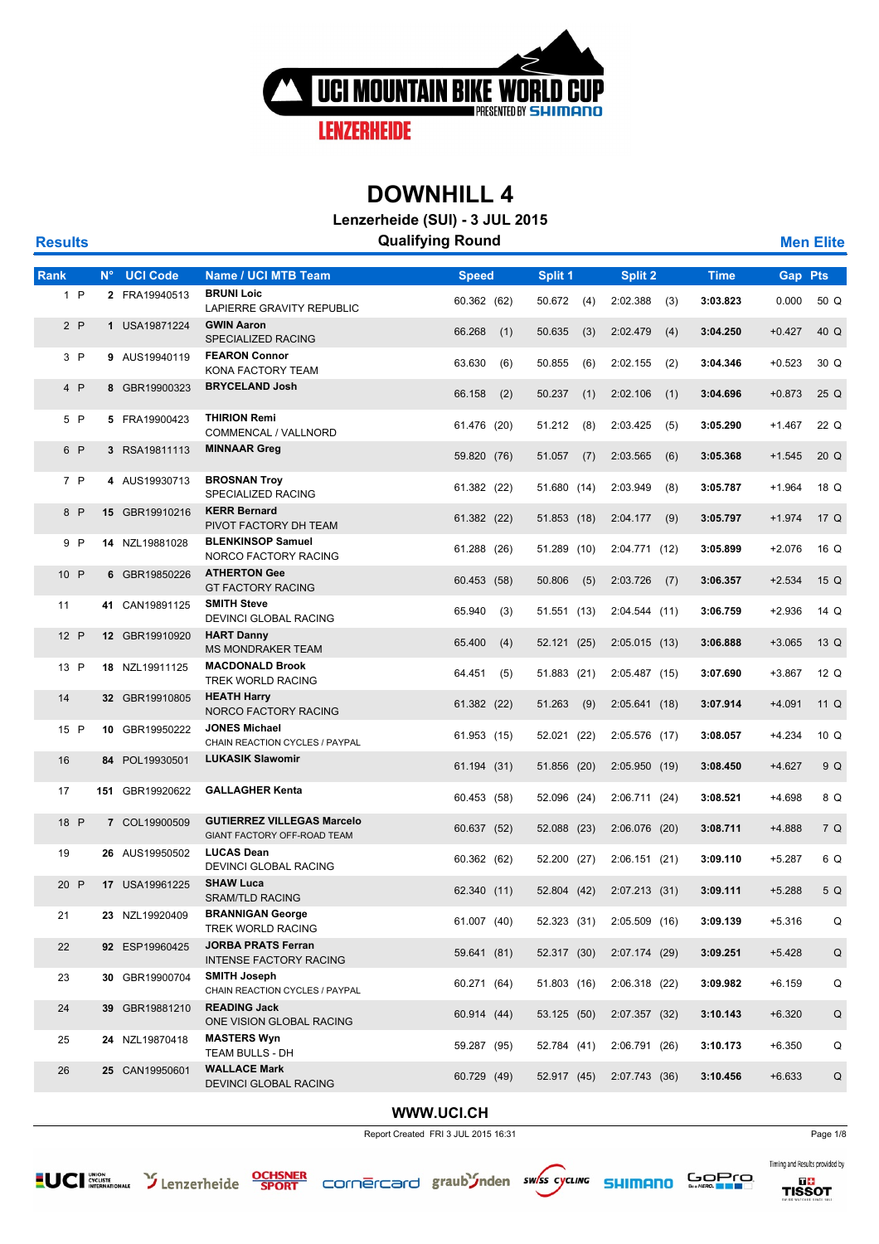

**Lenzerheide (SUI) - 3 JUL 2015**

| <b>Results</b> |      |             |                 |                                                                  | <b>Qualifying Round</b> |     |             |     |                 |     |             |          | <b>Men Elite</b> |
|----------------|------|-------------|-----------------|------------------------------------------------------------------|-------------------------|-----|-------------|-----|-----------------|-----|-------------|----------|------------------|
| Rank           |      | $N^{\circ}$ | <b>UCI Code</b> | <b>Name / UCI MTB Team</b>                                       | <b>Speed</b>            |     | Split 1     |     | Split 2         |     | <b>Time</b> | Gap      | <b>Pts</b>       |
|                | 1 P  |             | 2 FRA19940513   | <b>BRUNI Loic</b><br>LAPIERRE GRAVITY REPUBLIC                   | 60.362 (62)             |     | 50.672      | (4) | 2:02.388        | (3) | 3:03.823    | 0.000    | 50 Q             |
|                | 2P   |             | 1 USA19871224   | <b>GWIN Aaron</b><br>SPECIALIZED RACING                          | 66.268                  | (1) | 50.635      | (3) | 2:02.479        | (4) | 3:04.250    | $+0.427$ | 40 Q             |
|                | 3P   |             | 9 AUS19940119   | <b>FEARON Connor</b><br>KONA FACTORY TEAM                        | 63.630                  | (6) | 50.855      | (6) | 2:02.155        | (2) | 3:04.346    | $+0.523$ | 30 Q             |
|                | 4 P  |             | 8 GBR19900323   | <b>BRYCELAND Josh</b>                                            | 66.158                  | (2) | 50.237      | (1) | 2:02.106        | (1) | 3:04.696    | $+0.873$ | 25 Q             |
|                | 5 P  |             | 5 FRA19900423   | <b>THIRION Remi</b><br>COMMENCAL / VALLNORD                      | 61.476 (20)             |     | 51.212      | (8) | 2:03.425        | (5) | 3:05.290    | $+1.467$ | 22 Q             |
|                | 6 P  |             | 3 RSA19811113   | <b>MINNAAR Greg</b>                                              | 59.820 (76)             |     | 51.057      | (7) | 2:03.565        | (6) | 3:05.368    | $+1.545$ | 20 Q             |
|                | 7 P  |             | 4 AUS19930713   | <b>BROSNAN Troy</b><br>SPECIALIZED RACING                        | 61.382 (22)             |     | 51.680 (14) |     | 2:03.949        | (8) | 3:05.787    | $+1.964$ | 18 Q             |
|                | 8 P  |             | 15 GBR19910216  | <b>KERR Bernard</b><br>PIVOT FACTORY DH TEAM                     | 61.382 (22)             |     | 51.853 (18) |     | 2:04.177        | (9) | 3:05.797    | $+1.974$ | 17 Q             |
|                | 9 P  |             | 14 NZL19881028  | <b>BLENKINSOP Samuel</b><br>NORCO FACTORY RACING                 | 61.288 (26)             |     | 51.289 (10) |     | 2:04.771(12)    |     | 3:05.899    | $+2.076$ | 16 Q             |
|                | 10 P |             | 6 GBR19850226   | <b>ATHERTON Gee</b><br><b>GT FACTORY RACING</b>                  | 60.453 (58)             |     | 50.806      | (5) | 2:03.726        | (7) | 3:06.357    | $+2.534$ | 15 Q             |
| 11             |      |             | 41 CAN19891125  | <b>SMITH Steve</b><br>DEVINCI GLOBAL RACING                      | 65.940                  | (3) | 51.551 (13) |     | 2:04.544(11)    |     | 3:06.759    | $+2.936$ | 14 Q             |
|                | 12 P |             | 12 GBR19910920  | <b>HART Danny</b><br><b>MS MONDRAKER TEAM</b>                    | 65.400                  | (4) | 52.121 (25) |     | 2:05.015(13)    |     | 3:06.888    | $+3.065$ | 13 Q             |
|                | 13 P |             | 18 NZL19911125  | <b>MACDONALD Brook</b><br>TREK WORLD RACING                      | 64.451                  | (5) | 51.883 (21) |     | 2:05.487(15)    |     | 3:07.690    | $+3.867$ | 12 Q             |
| 14             |      |             | 32 GBR19910805  | <b>HEATH Harry</b><br>NORCO FACTORY RACING                       | 61.382 (22)             |     | 51.263      | (9) | 2:05.641(18)    |     | 3:07.914    | $+4.091$ | 11 Q             |
|                | 15 P |             | 10 GBR19950222  | <b>JONES Michael</b><br>CHAIN REACTION CYCLES / PAYPAL           | 61.953 (15)             |     | 52.021 (22) |     | 2:05.576 (17)   |     | 3:08.057    | $+4.234$ | 10 <sub>Q</sub>  |
| 16             |      |             | 84 POL19930501  | <b>LUKASIK Slawomir</b>                                          | 61.194 (31)             |     | 51.856 (20) |     | 2:05.950(19)    |     | 3:08.450    | $+4.627$ | 9 Q              |
| 17             |      |             | 151 GBR19920622 | <b>GALLAGHER Kenta</b>                                           | 60.453 (58)             |     | 52.096 (24) |     | 2:06.711(24)    |     | 3:08.521    | $+4.698$ | 8 Q              |
|                | 18 P |             | 7 COL19900509   | <b>GUTIERREZ VILLEGAS Marcelo</b><br>GIANT FACTORY OFF-ROAD TEAM | 60.637 (52)             |     | 52.088 (23) |     | $2:06.076$ (20) |     | 3:08.711    | +4.888   | 7 Q              |
| 19             |      |             | 26 AUS19950502  | <b>LUCAS Dean</b><br><b>DEVINCI GLOBAL RACING</b>                | 60.362 (62)             |     | 52.200 (27) |     | 2:06.151(21)    |     | 3:09.110    | $+5.287$ | 6 Q              |
|                | 20 P |             | 17 USA19961225  | <b>SHAW Luca</b><br>SRAM/TLD RACING                              | 62.340 (11)             |     | 52.804 (42) |     | $2:07.213$ (31) |     | 3:09.111    | $+5.288$ | 5 Q              |
| 21             |      |             | 23 NZL19920409  | <b>BRANNIGAN George</b><br>TREK WORLD RACING                     | 61.007 (40)             |     | 52.323 (31) |     | 2:05.509(16)    |     | 3:09.139    | $+5.316$ | Q                |
| 22             |      |             | 92 ESP19960425  | <b>JORBA PRATS Ferran</b><br><b>INTENSE FACTORY RACING</b>       | 59.641 (81)             |     | 52.317 (30) |     | 2:07.174(29)    |     | 3:09.251    | $+5.428$ | $\mathsf Q$      |
| 23             |      |             | 30 GBR19900704  | <b>SMITH Joseph</b><br>CHAIN REACTION CYCLES / PAYPAL            | 60.271 (64)             |     | 51.803 (16) |     | $2:06.318$ (22) |     | 3:09.982    | $+6.159$ | Q                |
| 24             |      |             | 39 GBR19881210  | <b>READING Jack</b><br>ONE VISION GLOBAL RACING                  | 60.914 (44)             |     | 53.125 (50) |     | 2:07.357 (32)   |     | 3:10.143    | $+6.320$ | $\mathsf Q$      |
| 25             |      |             | 24 NZL19870418  | <b>MASTERS Wyn</b><br>TEAM BULLS - DH                            | 59.287 (95)             |     | 52.784 (41) |     | 2:06.791 (26)   |     | 3:10.173    | $+6.350$ | Q                |
| 26             |      |             | 25 CAN19950601  | <b>WALLACE Mark</b><br>DEVINCI GLOBAL RACING                     | 60.729 (49)             |     | 52.917 (45) |     | 2:07.743(36)    |     | 3:10.456    | $+6.633$ | Q                |
|                |      |             |                 |                                                                  |                         |     |             |     |                 |     |             |          |                  |

#### **WWW.UCI.CH**

Report Created FRI 3 JUL 2015 16:31 Page 1/8









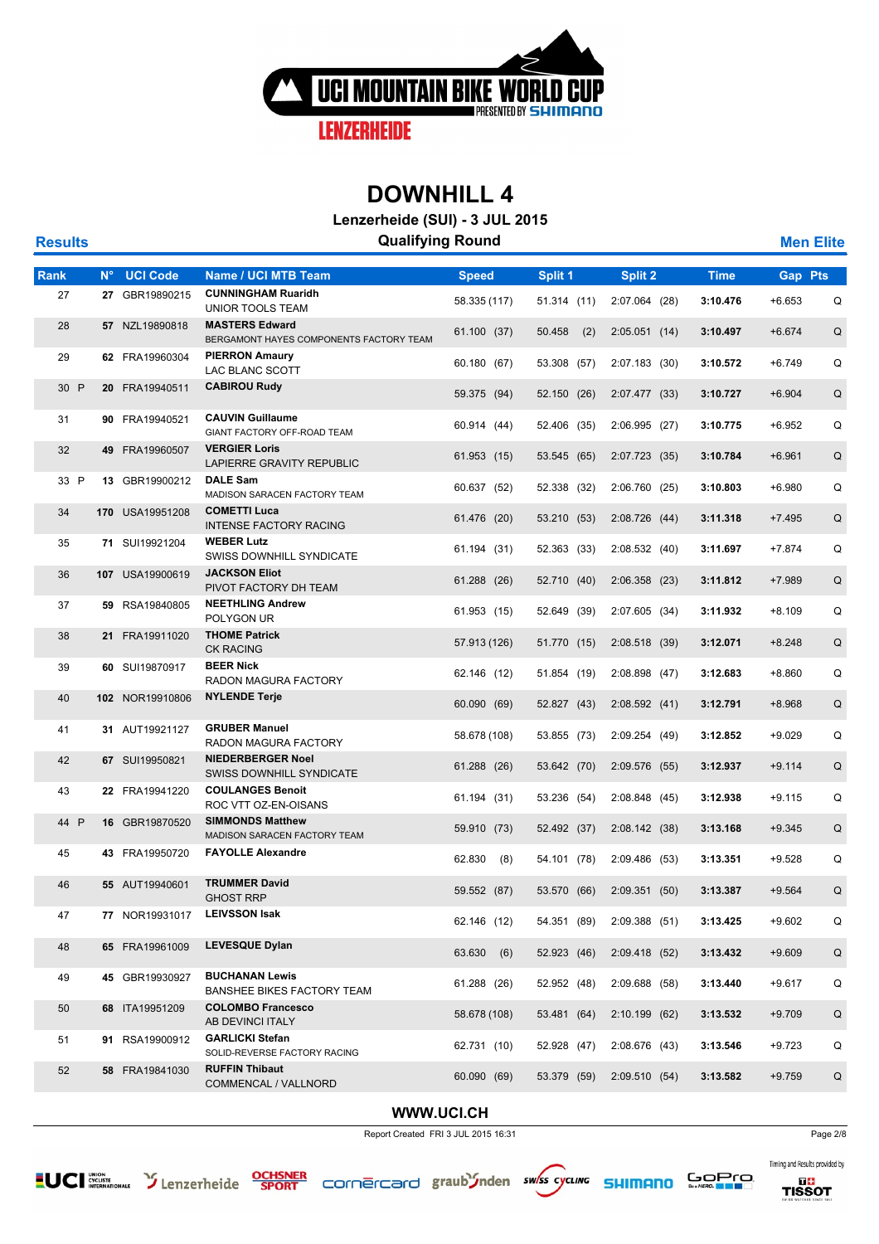

**Lenzerheide (SUI) - 3 JUL 2015**

| <b>Results</b> |             |                 | <b>Qualifying Round</b>                                          |               |               |                 |             |                | <b>Men Elite</b> |
|----------------|-------------|-----------------|------------------------------------------------------------------|---------------|---------------|-----------------|-------------|----------------|------------------|
| Rank           | $N^{\circ}$ | <b>UCI Code</b> | <b>Name / UCI MTB Team</b>                                       | <b>Speed</b>  | Split 1       | Split 2         | <b>Time</b> | <b>Gap Pts</b> |                  |
| 27             |             | 27 GBR19890215  | <b>CUNNINGHAM Ruaridh</b><br>UNIOR TOOLS TEAM                    | 58.335 (117)  | 51.314 (11)   | 2:07.064 (28)   | 3:10.476    | $+6.653$       | Q                |
| 28             |             | 57 NZL19890818  | <b>MASTERS Edward</b><br>BERGAMONT HAYES COMPONENTS FACTORY TEAM | 61.100 (37)   | 50.458<br>(2) | 2:05.051(14)    | 3:10.497    | $+6.674$       | Q                |
| 29             |             | 62 FRA19960304  | <b>PIERRON Amaury</b><br>LAC BLANC SCOTT                         | 60.180 (67)   | 53.308 (57)   | 2:07.183 (30)   | 3:10.572    | $+6.749$       | Q                |
| 30 P           |             | 20 FRA19940511  | <b>CABIROU Rudy</b>                                              | 59.375 (94)   | 52.150 (26)   | 2:07.477 (33)   | 3:10.727    | $+6.904$       | Q                |
| 31             |             | 90 FRA19940521  | <b>CAUVIN Guillaume</b><br>GIANT FACTORY OFF-ROAD TEAM           | 60.914 (44)   | 52.406 (35)   | 2:06.995(27)    | 3:10.775    | $+6.952$       | Q                |
| 32             |             | 49 FRA19960507  | <b>VERGIER Loris</b><br>LAPIERRE GRAVITY REPUBLIC                | 61.953 (15)   | 53.545 (65)   | 2:07.723(35)    | 3:10.784    | $+6.961$       | Q                |
| 33 P           |             | 13 GBR19900212  | <b>DALE Sam</b><br>MADISON SARACEN FACTORY TEAM                  | 60.637 (52)   | 52.338 (32)   | 2:06.760 (25)   | 3:10.803    | $+6.980$       | Q                |
| 34             |             | 170 USA19951208 | <b>COMETTI Luca</b><br><b>INTENSE FACTORY RACING</b>             | 61.476 (20)   | 53.210 (53)   | 2:08.726(44)    | 3:11.318    | $+7.495$       | Q                |
| 35             |             | 71 SUI19921204  | <b>WEBER Lutz</b><br>SWISS DOWNHILL SYNDICATE                    | 61.194 (31)   | 52.363 (33)   | 2:08.532 (40)   | 3:11.697    | $+7.874$       | Q                |
| 36             |             | 107 USA19900619 | <b>JACKSON Eliot</b><br>PIVOT FACTORY DH TEAM                    | 61.288 (26)   | 52.710 (40)   | $2:06.358$ (23) | 3:11.812    | $+7.989$       | Q                |
| 37             |             | 59 RSA19840805  | <b>NEETHLING Andrew</b><br>POLYGON UR                            | 61.953 (15)   | 52.649 (39)   | 2:07.605 (34)   | 3:11.932    | $+8.109$       | Q                |
| 38             |             | 21 FRA19911020  | <b>THOME Patrick</b><br><b>CK RACING</b>                         | 57.913 (126)  | 51.770 (15)   | $2:08.518$ (39) | 3:12.071    | $+8.248$       | Q                |
| 39             |             | 60 SUI19870917  | <b>BEER Nick</b><br>RADON MAGURA FACTORY                         | 62.146 (12)   | 51.854 (19)   | 2:08.898(47)    | 3:12.683    | $+8.860$       | Q                |
| 40             |             | 102 NOR19910806 | <b>NYLENDE Terje</b>                                             | 60.090 (69)   | 52.827 (43)   | 2:08.592(41)    | 3:12.791    | $+8.968$       | Q                |
| 41             |             | 31 AUT19921127  | <b>GRUBER Manuel</b><br>RADON MAGURA FACTORY                     | 58.678 (108)  | 53.855 (73)   | 2:09.254 (49)   | 3:12.852    | $+9.029$       | Q                |
| 42             |             | 67 SUI19950821  | <b>NIEDERBERGER Noel</b><br>SWISS DOWNHILL SYNDICATE             | 61.288 (26)   | 53.642 (70)   | $2:09.576$ (55) | 3:12.937    | $+9.114$       | Q                |
| 43             |             | 22 FRA19941220  | <b>COULANGES Benoit</b><br>ROC VTT OZ-EN-OISANS                  | 61.194 (31)   | 53.236 (54)   | 2:08.848 (45)   | 3:12.938    | $+9.115$       | Q                |
| 44 P           |             | 16 GBR19870520  | <b>SIMMONDS Matthew</b><br>MADISON SARACEN FACTORY TEAM          | 59.910 (73)   | 52.492 (37)   | 2:08.142(38)    | 3:13.168    | $+9.345$       | Q                |
| 45             |             | 43 FRA19950720  | <b>FAYOLLE Alexandre</b>                                         | 62.830<br>(8) | 54.101 (78)   | 2:09.486 (53)   | 3:13.351    | $+9.528$       | Q                |
| 46             |             | 55 AUT19940601  | <b>TRUMMER David</b><br><b>GHOST RRP</b>                         | 59.552 (87)   | 53.570 (66)   | 2:09.351(50)    | 3:13.387    | $+9.564$       | Q                |
| 47             |             | 77 NOR19931017  | <b>LEIVSSON Isak</b>                                             | 62.146 (12)   | 54.351 (89)   | 2:09.388(51)    | 3:13.425    | $+9.602$       | Q                |
| 48             |             | 65 FRA19961009  | <b>LEVESQUE Dylan</b>                                            | 63.630 (6)    | 52.923 (46)   | 2:09.418(52)    | 3:13.432    | $+9.609$       | Q                |
| 49             |             | 45 GBR19930927  | <b>BUCHANAN Lewis</b><br>BANSHEE BIKES FACTORY TEAM              | 61.288 (26)   | 52.952 (48)   | 2:09.688 (58)   | 3:13.440    | $+9.617$       | Q                |
| 50             |             | 68 ITA19951209  | <b>COLOMBO Francesco</b><br>AB DEVINCI ITALY                     | 58.678 (108)  | 53.481 (64)   | 2:10.199(62)    | 3:13.532    | $+9.709$       | Q                |
| 51             |             | 91 RSA19900912  | <b>GARLICKI Stefan</b><br>SOLID-REVERSE FACTORY RACING           | 62.731 (10)   | 52.928 (47)   | 2:08.676 (43)   | 3:13.546    | $+9.723$       | Q                |
| 52             |             | 58 FRA19841030  | <b>RUFFIN Thibaut</b><br>COMMENCAL / VALLNORD                    | 60.090 (69)   | 53.379 (59)   | 2:09.510(54)    | 3:13.582    | $+9.759$       | Q                |
|                |             |                 |                                                                  |               |               |                 |             |                |                  |

#### **WWW.UCI.CH**

Report Created FRI 3 JUL 2015 16:31 Page 2/8











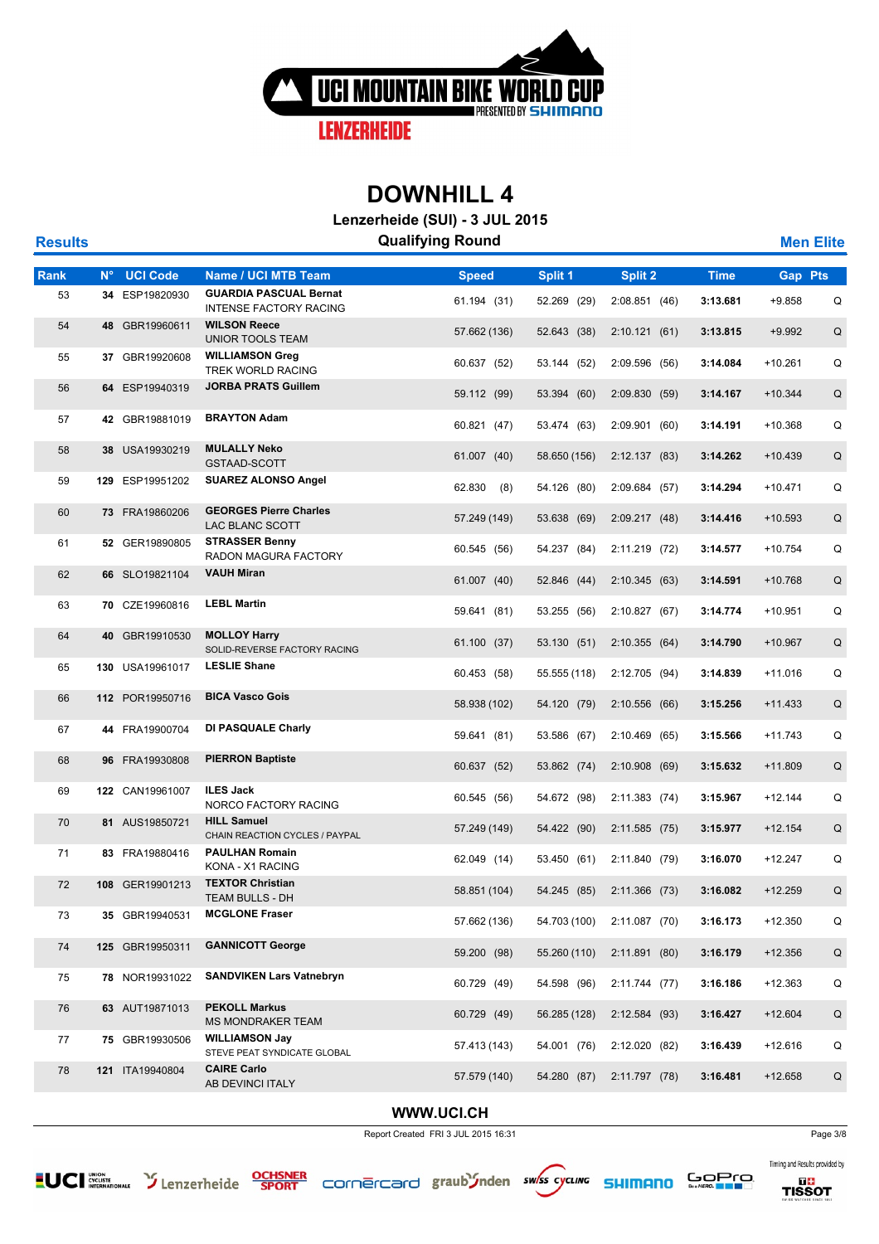

**Lenzerheide (SUI) - 3 JUL 2015**

| <b>Results</b> |             |                 |                                                                | <b>Qualifying Round</b> |              |               |             |                | <b>Men Elite</b> |
|----------------|-------------|-----------------|----------------------------------------------------------------|-------------------------|--------------|---------------|-------------|----------------|------------------|
| Rank           | $N^{\circ}$ | <b>UCI Code</b> | <b>Name / UCI MTB Team</b>                                     | <b>Speed</b>            | Split 1      | Split 2       | <b>Time</b> | <b>Gap Pts</b> |                  |
| 53             |             | 34 ESP19820930  | <b>GUARDIA PASCUAL Bernat</b><br><b>INTENSE FACTORY RACING</b> | 61.194 (31)             | 52.269 (29)  | 2:08.851 (46) | 3:13.681    | $+9.858$       | Q                |
| 54             |             | 48 GBR19960611  | <b>WILSON Reece</b><br><b>UNIOR TOOLS TEAM</b>                 | 57.662 (136)            | 52.643 (38)  | 2:10.121(61)  | 3:13.815    | $+9.992$       | Q                |
| 55             |             | 37 GBR19920608  | <b>WILLIAMSON Greg</b><br>TREK WORLD RACING                    | 60.637 (52)             | 53.144 (52)  | 2:09.596 (56) | 3:14.084    | $+10.261$      | Q                |
| 56             |             | 64 ESP19940319  | <b>JORBA PRATS Guillem</b>                                     | 59.112 (99)             | 53.394 (60)  | 2:09.830 (59) | 3:14.167    | $+10.344$      | Q                |
| 57             |             | 42 GBR19881019  | <b>BRAYTON Adam</b>                                            | 60.821 (47)             | 53.474 (63)  | 2:09.901(60)  | 3:14.191    | $+10.368$      | Q                |
| 58             |             | 38 USA19930219  | <b>MULALLY Neko</b><br>GSTAAD-SCOTT                            | 61.007 (40)             | 58.650 (156) | 2:12.137(83)  | 3:14.262    | $+10.439$      | Q                |
| 59             |             | 129 ESP19951202 | <b>SUAREZ ALONSO Angel</b>                                     | 62.830<br>(8)           | 54.126 (80)  | 2:09.684 (57) | 3:14.294    | $+10.471$      | Q                |
| 60             |             | 73 FRA19860206  | <b>GEORGES Pierre Charles</b><br>LAC BLANC SCOTT               | 57.249 (149)            | 53.638 (69)  | 2:09.217 (48) | 3:14.416    | $+10.593$      | Q                |
| 61             |             | 52 GER19890805  | <b>STRASSER Benny</b><br>RADON MAGURA FACTORY                  | 60.545 (56)             | 54.237 (84)  | 2:11.219 (72) | 3:14.577    | $+10.754$      | Q                |
| 62             |             | 66 SLO19821104  | <b>VAUH Miran</b>                                              | 61.007 (40)             | 52.846 (44)  | 2:10.345(63)  | 3:14.591    | +10.768        | Q                |
| 63             |             | 70 CZE19960816  | <b>LEBL Martin</b>                                             | 59.641 (81)             | 53.255 (56)  | 2:10.827 (67) | 3:14.774    | $+10.951$      | Q                |
| 64             |             | 40 GBR19910530  | <b>MOLLOY Harry</b><br>SOLID-REVERSE FACTORY RACING            | 61.100 (37)             | 53.130 (51)  | 2:10.355(64)  | 3:14.790    | $+10.967$      | Q                |
| 65             |             | 130 USA19961017 | <b>LESLIE Shane</b>                                            | 60.453 (58)             | 55.555 (118) | 2:12.705 (94) | 3:14.839    | $+11.016$      | Q                |
| 66             |             | 112 POR19950716 | <b>BICA Vasco Gois</b>                                         | 58.938 (102)            | 54.120 (79)  | 2:10.556(66)  | 3:15.256    | $+11.433$      | Q                |
| 67             |             | 44 FRA19900704  | DI PASQUALE Charly                                             | 59.641 (81)             | 53.586 (67)  | 2:10.469 (65) | 3:15.566    | $+11.743$      | Q                |
| 68             |             | 96 FRA19930808  | <b>PIERRON Baptiste</b>                                        | 60.637 (52)             | 53.862 (74)  | 2:10.908(69)  | 3:15.632    | $+11.809$      | Q                |
| 69             |             | 122 CAN19961007 | <b>ILES Jack</b><br>NORCO FACTORY RACING                       | 60.545 (56)             | 54.672 (98)  | 2:11.383 (74) | 3:15.967    | $+12.144$      | Q                |
| 70             |             | 81 AUS19850721  | <b>HILL Samuel</b><br>CHAIN REACTION CYCLES / PAYPAL           | 57.249 (149)            | 54.422 (90)  | 2:11.585(75)  | 3:15.977    | $+12.154$      | Q                |
| 71             |             | 83 FRA19880416  | <b>PAULHAN Romain</b><br>KONA - X1 RACING                      | 62.049 (14)             | 53.450 (61)  | 2:11.840 (79) | 3:16.070    | $+12.247$      | Q                |
| 72             |             | 108 GER19901213 | <b>TEXTOR Christian</b><br>TEAM BULLS - DH                     | 58.851 (104)            | 54.245 (85)  | 2:11.366 (73) | 3:16.082    | $+12.259$      | Q                |
| 73             |             | 35 GBR19940531  | <b>MCGLONE Fraser</b>                                          | 57.662 (136)            | 54.703 (100) | 2:11.087 (70) | 3:16.173    | $+12.350$      | Q                |
| 74             |             | 125 GBR19950311 | <b>GANNICOTT George</b>                                        | 59.200 (98)             | 55.260 (110) | 2:11.891(80)  | 3:16.179    | $+12.356$      | $\sf Q$          |
| 75             |             | 78 NOR19931022  | <b>SANDVIKEN Lars Vatnebryn</b>                                | 60.729 (49)             | 54.598 (96)  | 2:11.744 (77) | 3:16.186    | $+12.363$      | Q                |
| 76             |             | 63 AUT19871013  | <b>PEKOLL Markus</b><br><b>MS MONDRAKER TEAM</b>               | 60.729 (49)             | 56.285 (128) | 2:12.584 (93) | 3:16.427    | $+12.604$      | Q                |
| 77             |             | 75 GBR19930506  | <b>WILLIAMSON Jay</b><br>STEVE PEAT SYNDICATE GLOBAL           | 57.413 (143)            | 54.001 (76)  | 2:12.020 (82) | 3:16.439    | $+12.616$      | Q                |
| 78             |             | 121 ITA19940804 | <b>CAIRE Carlo</b><br>AB DEVINCI ITALY                         | 57.579 (140)            | 54.280 (87)  | 2:11.797 (78) | 3:16.481    | +12.658        | Q                |
|                |             |                 |                                                                |                         |              |               |             |                |                  |

#### **WWW.UCI.CH**

Report Created FRI 3 JUL 2015 16:31 Page 3/8













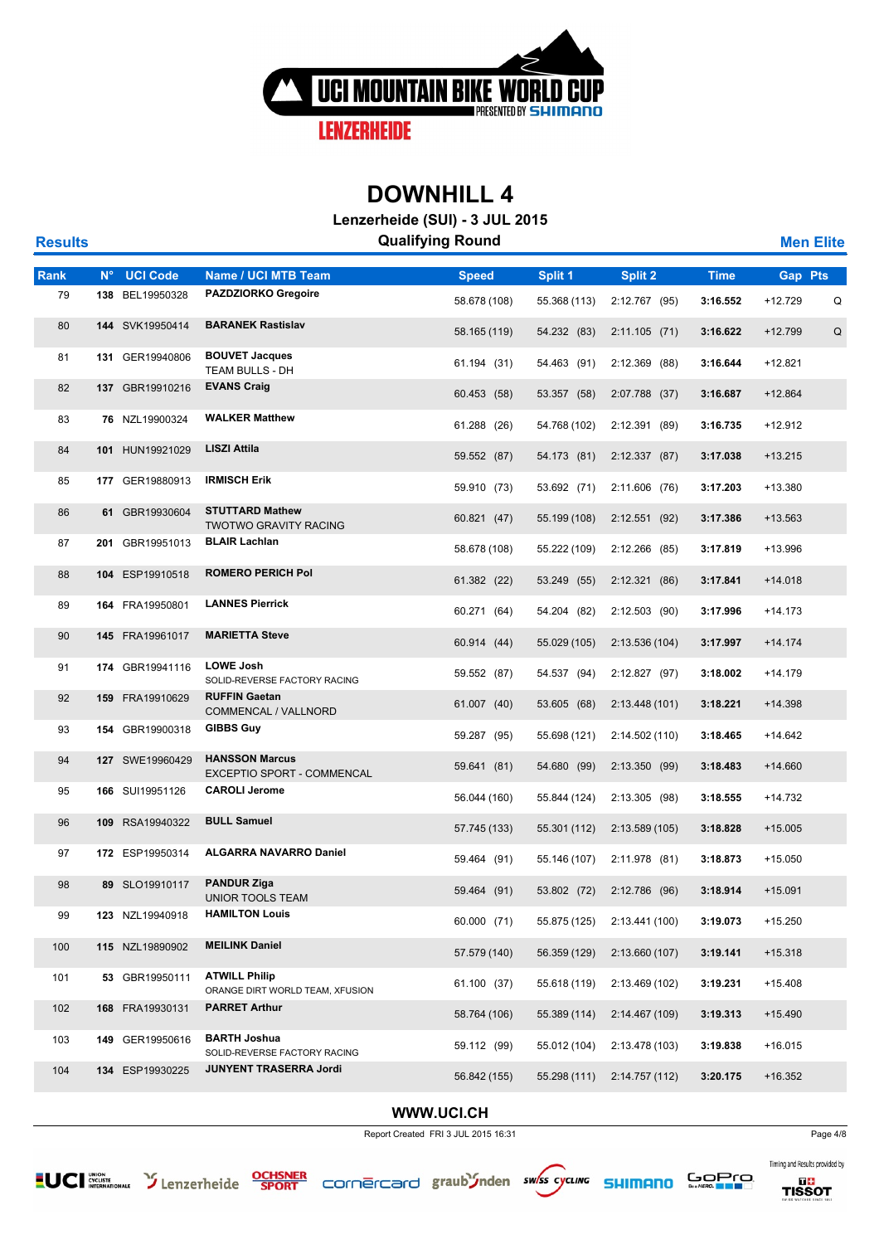

**Lenzerheide (SUI) - 3 JUL 2015**

| <b>Results</b> |             |                 |                                                         | $L$ chechicle (001) - 0 00L 2010<br><b>Qualifying Round</b> |              |                 |             | <b>Men Elite</b> |   |
|----------------|-------------|-----------------|---------------------------------------------------------|-------------------------------------------------------------|--------------|-----------------|-------------|------------------|---|
| <b>Rank</b>    | $N^{\circ}$ | <b>UCI Code</b> | Name / UCI MTB Team                                     | <b>Speed</b>                                                | Split 1      | Split 2         | <b>Time</b> | <b>Gap Pts</b>   |   |
| 79             |             | 138 BEL19950328 | <b>PAZDZIORKO Gregoire</b>                              | 58.678 (108)                                                | 55.368 (113) | 2:12.767 (95)   | 3:16.552    | $+12.729$        | Q |
| 80             |             | 144 SVK19950414 | <b>BARANEK Rastislav</b>                                | 58.165 (119)                                                | 54.232 (83)  | 2:11.105(71)    | 3:16.622    | $+12.799$        | Q |
| 81             |             | 131 GER19940806 | <b>BOUVET Jacques</b>                                   | 61.194 (31)                                                 | 54.463 (91)  | 2:12.369 (88)   | 3:16.644    | $+12.821$        |   |
| 82             |             | 137 GBR19910216 | TEAM BULLS - DH<br><b>EVANS Craig</b>                   | 60.453 (58)                                                 | 53.357 (58)  | 2:07.788 (37)   | 3:16.687    | $+12.864$        |   |
| 83             |             | 76 NZL19900324  | <b>WALKER Matthew</b>                                   | 61.288 (26)                                                 | 54.768 (102) | 2:12.391 (89)   | 3:16.735    | $+12.912$        |   |
| 84             |             | 101 HUN19921029 | <b>LISZI Attila</b>                                     | 59.552 (87)                                                 | 54.173 (81)  | 2:12.337 (87)   | 3:17.038    | $+13.215$        |   |
| 85             |             | 177 GER19880913 | <b>IRMISCH Erik</b>                                     | 59.910 (73)                                                 | 53.692 (71)  | 2:11.606(76)    | 3:17.203    | $+13.380$        |   |
| 86             |             | 61 GBR19930604  | <b>STUTTARD Mathew</b>                                  | 60.821 (47)                                                 | 55.199 (108) | $2:12.551$ (92) | 3:17.386    | $+13.563$        |   |
| 87             |             | 201 GBR19951013 | <b>TWOTWO GRAVITY RACING</b><br><b>BLAIR Lachlan</b>    | 58.678 (108)                                                | 55.222 (109) | $2:12.266$ (85) | 3:17.819    | $+13.996$        |   |
| 88             |             | 104 ESP19910518 | <b>ROMERO PERICH Pol</b>                                | 61.382 (22)                                                 | 53.249 (55)  | 2:12.321 (86)   | 3:17.841    | $+14.018$        |   |
| 89             |             | 164 FRA19950801 | <b>LANNES Pierrick</b>                                  | 60.271 (64)                                                 | 54.204 (82)  | 2:12.503(90)    | 3:17.996    | $+14.173$        |   |
| 90             |             | 145 FRA19961017 | <b>MARIETTA Steve</b>                                   | 60.914 (44)                                                 | 55.029 (105) | 2:13.536 (104)  | 3:17.997    | $+14.174$        |   |
| 91             |             | 174 GBR19941116 | <b>LOWE Josh</b>                                        | 59.552 (87)                                                 | 54.537 (94)  | 2:12.827 (97)   | 3:18.002    | $+14.179$        |   |
| 92             |             | 159 FRA19910629 | SOLID-REVERSE FACTORY RACING<br><b>RUFFIN Gaetan</b>    |                                                             |              |                 |             |                  |   |
|                |             |                 | COMMENCAL / VALLNORD<br><b>GIBBS Guy</b>                | 61.007 (40)                                                 | 53.605 (68)  | 2:13.448 (101)  | 3:18.221    | $+14.398$        |   |
| 93             |             | 154 GBR19900318 |                                                         | 59.287 (95)                                                 | 55.698 (121) | 2:14.502 (110)  | 3:18.465    | $+14.642$        |   |
| 94             |             | 127 SWE19960429 | <b>HANSSON Marcus</b><br>EXCEPTIO SPORT - COMMENCAL     | 59.641 (81)                                                 | 54.680 (99)  | 2:13.350 (99)   | 3:18.483    | $+14.660$        |   |
| 95             |             | 166 SUI19951126 | <b>CAROLI Jerome</b>                                    | 56.044 (160)                                                | 55.844 (124) | 2:13.305 (98)   | 3:18.555    | $+14.732$        |   |
| 96             |             | 109 RSA19940322 | <b>BULL Samuel</b>                                      | 57.745 (133)                                                | 55.301 (112) | 2:13.589(105)   | 3:18.828    | $+15.005$        |   |
| 97             |             | 172 ESP19950314 | <b>ALGARRA NAVARRO Daniel</b>                           | 59.464 (91)                                                 | 55.146 (107) | 2:11.978 (81)   | 3:18.873    | $+15.050$        |   |
| 98             |             | 89 SLO19910117  | <b>PANDUR Ziga</b><br>UNIOR TOOLS TEAM                  | 59.464 (91)                                                 | 53.802 (72)  | 2:12.786 (96)   | 3:18.914    | $+15.091$        |   |
| 99             |             | 123 NZL19940918 | <b>HAMILTON Louis</b>                                   | 60.000 (71)                                                 | 55.875 (125) | 2:13.441 (100)  | 3:19.073    | $+15.250$        |   |
| 100            |             | 115 NZL19890902 | <b>MEILINK Daniel</b>                                   | 57.579 (140)                                                | 56.359 (129) | 2:13.660 (107)  | 3:19.141    | $+15.318$        |   |
| 101            |             | 53 GBR19950111  | <b>ATWILL Philip</b><br>ORANGE DIRT WORLD TEAM, XFUSION | 61.100 (37)                                                 | 55.618 (119) | 2:13.469 (102)  | 3:19.231    | $+15.408$        |   |
| 102            |             | 168 FRA19930131 | <b>PARRET Arthur</b>                                    | 58.764 (106)                                                | 55.389 (114) | 2:14.467 (109)  | 3:19.313    | $+15.490$        |   |
| 103            |             | 149 GER19950616 | <b>BARTH Joshua</b><br>SOLID-REVERSE FACTORY RACING     | 59.112 (99)                                                 | 55.012 (104) | 2:13.478 (103)  | 3:19.838    | $+16.015$        |   |
| 104            |             | 134 ESP19930225 | JUNYENT TRASERRA Jordi                                  | 56.842 (155)                                                | 55.298 (111) | 2:14.757(112)   | 3:20.175    | $+16.352$        |   |
|                |             |                 |                                                         |                                                             |              |                 |             |                  |   |

#### **WWW.UCI.CH**

Report Created FRI 3 JUL 2015 16:31













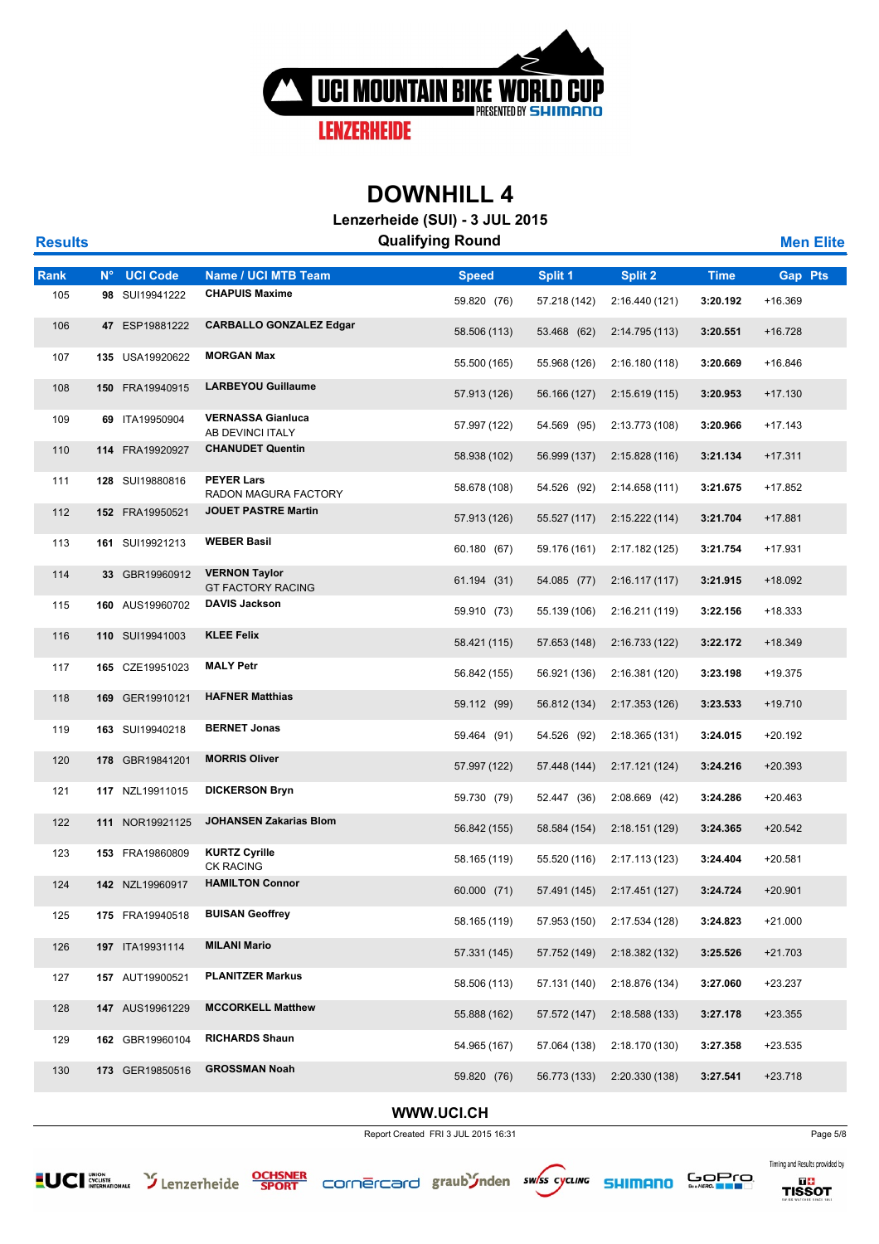

**Lenzerheide (SUI) - 3 JUL 2015**

| <b>Results</b> |             |                 |                                                  | Lenzenierde (OOI) – 9 00L ZUTU<br><b>Qualifying Round</b> |              |                |             | <b>Men Elite</b> |
|----------------|-------------|-----------------|--------------------------------------------------|-----------------------------------------------------------|--------------|----------------|-------------|------------------|
| Rank           | $N^{\circ}$ | <b>UCI Code</b> | Name / UCI MTB Team                              | <b>Speed</b>                                              | Split 1      | <b>Split 2</b> | <b>Time</b> | <b>Gap Pts</b>   |
| 105            |             | 98 SUI19941222  | <b>CHAPUIS Maxime</b>                            | 59.820 (76)                                               | 57.218 (142) | 2:16.440 (121) | 3:20.192    | +16.369          |
| 106            |             | 47 ESP19881222  | <b>CARBALLO GONZALEZ Edgar</b>                   | 58.506 (113)                                              | 53.468 (62)  | 2:14.795 (113) | 3:20.551    | $+16.728$        |
| 107            |             | 135 USA19920622 | <b>MORGAN Max</b>                                | 55.500 (165)                                              | 55.968 (126) | 2:16.180(118)  | 3:20.669    | $+16.846$        |
| 108            |             | 150 FRA19940915 | <b>LARBEYOU Guillaume</b>                        | 57.913 (126)                                              | 56.166 (127) | 2:15.619(115)  | 3:20.953    | $+17.130$        |
| 109            |             | 69 ITA19950904  | <b>VERNASSA Gianluca</b><br>AB DEVINCI ITALY     | 57.997 (122)                                              | 54.569 (95)  | 2:13.773 (108) | 3:20.966    | $+17.143$        |
| 110            |             | 114 FRA19920927 | <b>CHANUDET Quentin</b>                          | 58.938 (102)                                              | 56.999 (137) | 2:15.828(116)  | 3:21.134    | $+17.311$        |
| 111            |             | 128 SUI19880816 | <b>PEYER Lars</b><br>RADON MAGURA FACTORY        | 58.678 (108)                                              | 54.526 (92)  | 2:14.658 (111) | 3:21.675    | +17.852          |
| 112            |             | 152 FRA19950521 | <b>JOUET PASTRE Martin</b>                       | 57.913 (126)                                              | 55.527 (117) | 2:15.222(114)  | 3:21.704    | +17.881          |
| 113            |             | 161 SUI19921213 | <b>WEBER Basil</b>                               | 60.180 (67)                                               | 59.176 (161) | 2:17.182 (125) | 3:21.754    | +17.931          |
| 114            |             | 33 GBR19960912  | <b>VERNON Taylor</b><br><b>GT FACTORY RACING</b> | 61.194 (31)                                               | 54.085 (77)  | 2:16.117(117)  | 3:21.915    | +18.092          |
| 115            |             | 160 AUS19960702 | <b>DAVIS Jackson</b>                             | 59.910 (73)                                               | 55.139 (106) | 2:16.211 (119) | 3:22.156    | $+18.333$        |
| 116            |             | 110 SUI19941003 | <b>KLEE Felix</b>                                | 58.421 (115)                                              | 57.653 (148) | 2:16.733(122)  | 3:22.172    | +18.349          |
| 117            |             | 165 CZE19951023 | <b>MALY Petr</b>                                 | 56.842 (155)                                              | 56.921 (136) | 2:16.381 (120) | 3:23.198    | $+19.375$        |
| 118            |             | 169 GER19910121 | <b>HAFNER Matthias</b>                           | 59.112 (99)                                               | 56.812 (134) | 2:17.353 (126) | 3:23.533    | $+19.710$        |
| 119            |             | 163 SUI19940218 | <b>BERNET Jonas</b>                              | 59.464 (91)                                               | 54.526 (92)  | 2:18.365 (131) | 3:24.015    | $+20.192$        |
| 120            |             | 178 GBR19841201 | <b>MORRIS Oliver</b>                             | 57.997 (122)                                              | 57.448 (144) | 2:17.121(124)  | 3:24.216    | $+20.393$        |
| 121            |             | 117 NZL19911015 | <b>DICKERSON Bryn</b>                            | 59.730 (79)                                               | 52.447 (36)  | 2:08.669 (42)  | 3:24.286    | $+20.463$        |
| 122            |             | 111 NOR19921125 | <b>JOHANSEN Zakarias Blom</b>                    | 56.842 (155)                                              | 58.584 (154) | 2:18.151(129)  | 3:24.365    | $+20.542$        |
| 123            |             | 153 FRA19860809 | <b>KURTZ Cyrille</b><br><b>CK RACING</b>         | 58.165 (119)                                              | 55.520 (116) | 2:17.113 (123) | 3:24.404    | +20.581          |
| 124            |             | 142 NZL19960917 | <b>HAMILTON Connor</b>                           | 60.000 (71)                                               | 57.491 (145) | 2:17.451 (127) | 3:24.724    | $+20.901$        |
| 125            |             | 175 FRA19940518 | <b>BUISAN Geoffrey</b>                           | 58.165 (119)                                              | 57.953 (150) | 2:17.534 (128) | 3:24.823    | $+21.000$        |
| 126            |             | 197 ITA19931114 | <b>MILANI Mario</b>                              | 57.331 (145)                                              | 57.752 (149) | 2:18.382 (132) | 3:25.526    | $+21.703$        |
| 127            |             | 157 AUT19900521 | <b>PLANITZER Markus</b>                          | 58.506 (113)                                              | 57.131 (140) | 2:18.876 (134) | 3:27.060    | $+23.237$        |
| 128            |             | 147 AUS19961229 | <b>MCCORKELL Matthew</b>                         | 55.888 (162)                                              | 57.572 (147) | 2:18.588(133)  | 3:27.178    | $+23.355$        |
| 129            |             | 162 GBR19960104 | <b>RICHARDS Shaun</b>                            | 54.965 (167)                                              | 57.064 (138) | 2:18.170 (130) | 3:27.358    | $+23.535$        |
| 130            |             | 173 GER19850516 | <b>GROSSMAN Noah</b>                             | 59.820 (76)                                               | 56.773 (133) | 2:20.330 (138) | 3:27.541    | $+23.718$        |
|                |             |                 |                                                  |                                                           |              |                |             |                  |

#### **WWW.UCI.CH**

Report Created FRI 3 JUL 2015 16:31 Page 5/8













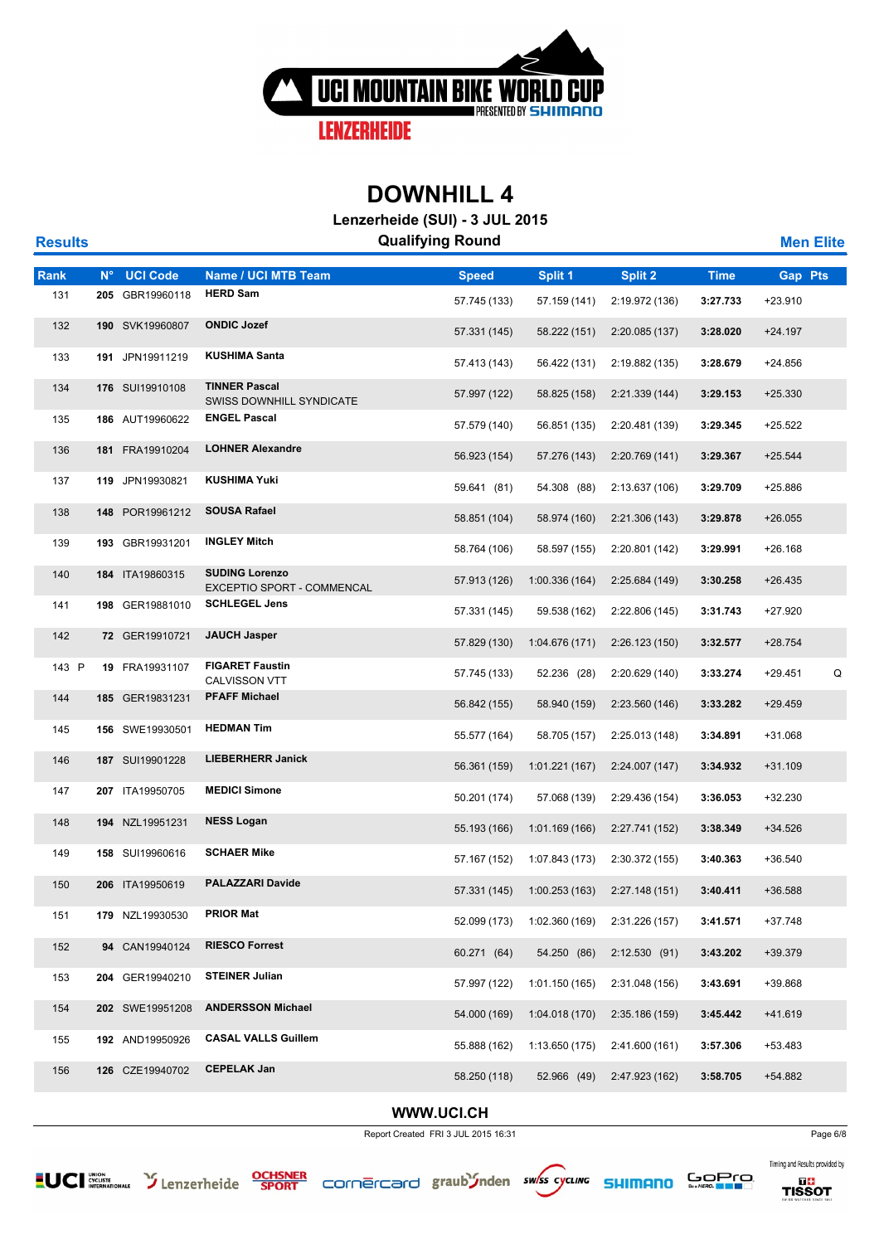

**Lenzerheide (SUI) - 3 JUL 2015**

| <b>Results</b> |             |                 |                                                            | <b>Qualifying Round</b> |                |                |             | <b>Men Elite</b> |   |
|----------------|-------------|-----------------|------------------------------------------------------------|-------------------------|----------------|----------------|-------------|------------------|---|
| Rank           | $N^{\circ}$ | <b>UCI Code</b> | Name / UCI MTB Team                                        | <b>Speed</b>            | Split 1        | <b>Split 2</b> | <b>Time</b> | <b>Gap Pts</b>   |   |
| 131            |             | 205 GBR19960118 | <b>HERD Sam</b>                                            | 57.745 (133)            | 57.159 (141)   | 2:19.972 (136) | 3:27.733    | +23.910          |   |
| 132            |             | 190 SVK19960807 | <b>ONDIC Jozef</b>                                         | 57.331 (145)            | 58.222 (151)   | 2:20.085 (137) | 3:28.020    | $+24.197$        |   |
| 133            |             | 191 JPN19911219 | <b>KUSHIMA Santa</b>                                       | 57.413 (143)            | 56.422 (131)   | 2:19.882 (135) | 3:28.679    | +24.856          |   |
| 134            |             | 176 SUI19910108 | <b>TINNER Pascal</b><br>SWISS DOWNHILL SYNDICATE           | 57.997 (122)            | 58.825 (158)   | 2:21.339(144)  | 3:29.153    | $+25.330$        |   |
| 135            |             | 186 AUT19960622 | <b>ENGEL Pascal</b>                                        | 57.579 (140)            | 56.851 (135)   | 2:20.481 (139) | 3:29.345    | +25.522          |   |
| 136            |             | 181 FRA19910204 | <b>LOHNER Alexandre</b>                                    | 56.923 (154)            | 57.276 (143)   | 2:20.769 (141) | 3:29.367    | $+25.544$        |   |
| 137            |             | 119 JPN19930821 | <b>KUSHIMA Yuki</b>                                        | 59.641 (81)             | 54.308 (88)    | 2:13.637 (106) | 3:29.709    | +25.886          |   |
| 138            |             | 148 POR19961212 | <b>SOUSA Rafael</b>                                        | 58.851 (104)            | 58.974 (160)   | 2:21.306 (143) | 3:29.878    | $+26.055$        |   |
| 139            |             | 193 GBR19931201 | <b>INGLEY Mitch</b>                                        | 58.764 (106)            | 58.597 (155)   | 2:20.801 (142) | 3:29.991    | $+26.168$        |   |
| 140            |             | 184 ITA19860315 | <b>SUDING Lorenzo</b><br><b>EXCEPTIO SPORT - COMMENCAL</b> | 57.913 (126)            | 1:00.336(164)  | 2:25.684 (149) | 3:30.258    | $+26.435$        |   |
| 141            |             | 198 GER19881010 | <b>SCHLEGEL Jens</b>                                       | 57.331 (145)            | 59.538 (162)   | 2:22.806 (145) | 3:31.743    | +27.920          |   |
| 142            |             | 72 GER19910721  | <b>JAUCH Jasper</b>                                        | 57.829 (130)            | 1:04.676(171)  | 2:26.123(150)  | 3:32.577    | $+28.754$        |   |
| 143 P          |             | 19 FRA19931107  | <b>FIGARET Faustin</b><br><b>CALVISSON VTT</b>             | 57.745 (133)            | 52.236 (28)    | 2:20.629 (140) | 3:33.274    | $+29.451$        | Q |
| 144            |             | 185 GER19831231 | <b>PFAFF Michael</b>                                       | 56.842 (155)            | 58.940 (159)   | 2:23.560 (146) | 3:33.282    | $+29.459$        |   |
| 145            |             | 156 SWE19930501 | <b>HEDMAN Tim</b>                                          | 55.577 (164)            | 58.705 (157)   | 2:25.013 (148) | 3:34.891    | +31.068          |   |
| 146            |             | 187 SUI19901228 | <b>LIEBERHERR Janick</b>                                   | 56.361 (159)            | 1:01.221(167)  | 2:24.007 (147) | 3:34.932    | $+31.109$        |   |
| 147            |             | 207 ITA19950705 | <b>MEDICI Simone</b>                                       | 50.201 (174)            | 57.068 (139)   | 2:29.436 (154) | 3:36.053    | +32.230          |   |
| 148            |             | 194 NZL19951231 | <b>NESS Logan</b>                                          | 55.193 (166)            | 1:01.169(166)  | 2:27.741 (152) | 3:38.349    | $+34.526$        |   |
| 149            |             | 158 SUI19960616 | <b>SCHAER Mike</b>                                         | 57.167 (152)            | 1:07.843 (173) | 2:30.372 (155) | 3:40.363    | $+36.540$        |   |
| 150            |             | 206 ITA19950619 | <b>PALAZZARI Davide</b>                                    | 57.331 (145)            | 1:00.253 (163) | 2:27.148(151)  | 3:40.411    | +36.588          |   |
| 151            |             | 179 NZL19930530 | <b>PRIOR Mat</b>                                           | 52.099 (173)            | 1:02.360 (169) | 2:31.226 (157) | 3:41.571    | $+37.748$        |   |
| 152            |             | 94 CAN19940124  | <b>RIESCO Forrest</b>                                      | 60.271 (64)             | 54.250 (86)    | 2:12.530(91)   | 3:43.202    | +39.379          |   |
| 153            |             | 204 GER19940210 | <b>STEINER Julian</b>                                      | 57.997 (122)            | 1:01.150 (165) | 2:31.048 (156) | 3:43.691    | +39.868          |   |
| 154            |             | 202 SWE19951208 | <b>ANDERSSON Michael</b>                                   | 54.000 (169)            | 1:04.018(170)  | 2:35.186 (159) | 3:45.442    | +41.619          |   |
| 155            |             | 192 AND19950926 | <b>CASAL VALLS Guillem</b>                                 | 55.888 (162)            | 1:13.650 (175) | 2:41.600 (161) | 3:57.306    | +53.483          |   |
| 156            |             | 126 CZE19940702 | <b>CEPELAK Jan</b>                                         | 58.250 (118)            | 52.966 (49)    | 2:47.923 (162) | 3:58.705    | +54.882          |   |
|                |             |                 |                                                            |                         |                |                |             |                  |   |

#### **WWW.UCI.CH**

Report Created FRI 3 JUL 2015 16:31 Page 6/8













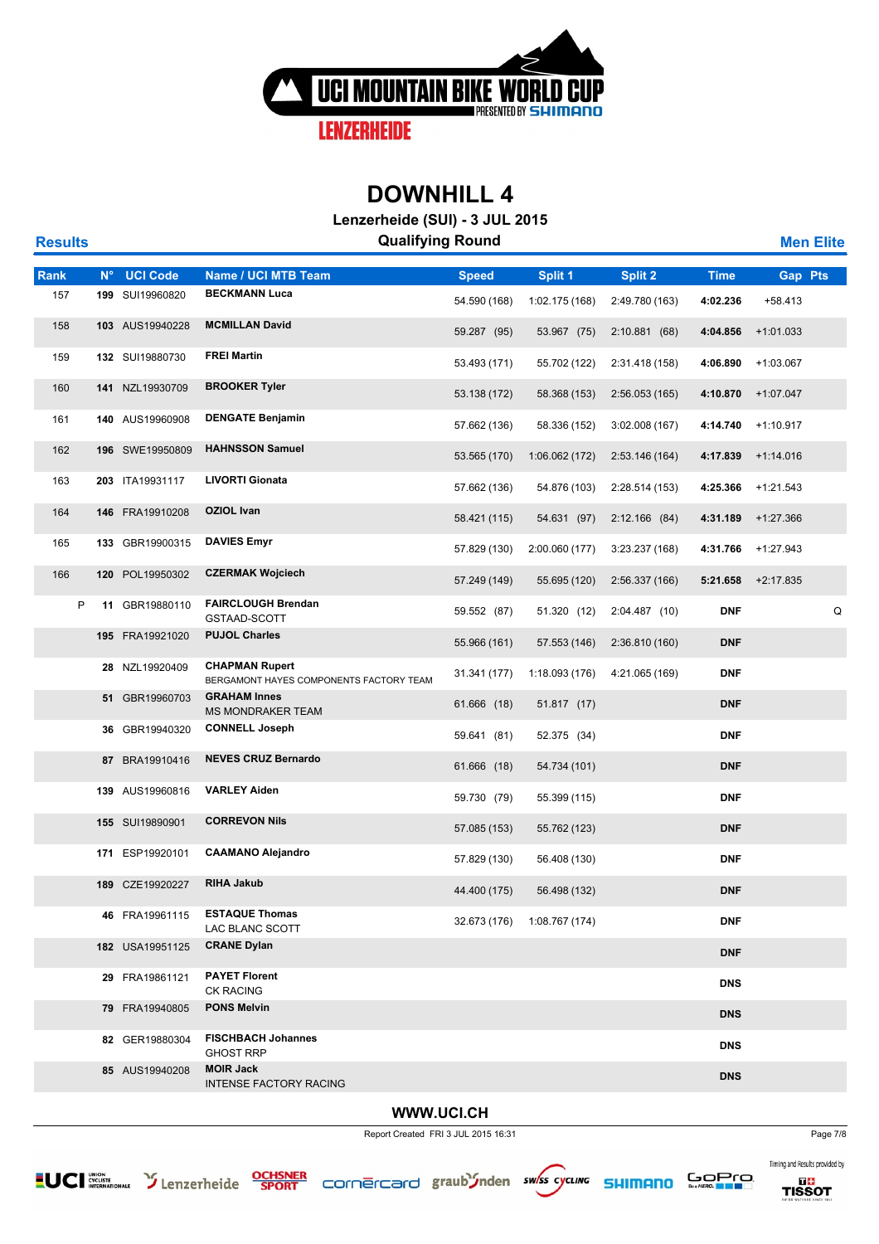

**Lenzerheide (SUI) - 3 JUL 2015**

| <b>Results</b> |             |                 | <b>Qualifying Round</b>                                          |              |                |                |             | <b>Men Elite</b> |   |
|----------------|-------------|-----------------|------------------------------------------------------------------|--------------|----------------|----------------|-------------|------------------|---|
| Rank           | $N^{\circ}$ | <b>UCI Code</b> | Name / UCI MTB Team                                              | <b>Speed</b> | Split 1        | Split 2        | <b>Time</b> | <b>Gap Pts</b>   |   |
| 157            |             | 199 SUI19960820 | <b>BECKMANN Luca</b>                                             | 54.590 (168) | 1:02.175 (168) | 2:49.780 (163) | 4:02.236    | +58.413          |   |
| 158            |             | 103 AUS19940228 | <b>MCMILLAN David</b>                                            | 59.287 (95)  | 53.967 (75)    | 2:10.881(68)   | 4:04.856    | $+1:01.033$      |   |
| 159            |             | 132 SUI19880730 | <b>FREI Martin</b>                                               | 53.493 (171) | 55.702 (122)   | 2:31.418 (158) | 4:06.890    | $+1:03.067$      |   |
| 160            |             | 141 NZL19930709 | <b>BROOKER Tyler</b>                                             | 53.138 (172) | 58.368 (153)   | 2:56.053(165)  | 4:10.870    | +1:07.047        |   |
| 161            |             | 140 AUS19960908 | <b>DENGATE Benjamin</b>                                          | 57.662 (136) | 58.336 (152)   | 3:02.008(167)  | 4:14.740    | +1:10.917        |   |
| 162            |             | 196 SWE19950809 | <b>HAHNSSON Samuel</b>                                           | 53.565 (170) | 1:06.062(172)  | 2:53.146 (164) | 4:17.839    | +1:14.016        |   |
| 163            |             | 203 ITA19931117 | <b>LIVORTI Gionata</b>                                           | 57.662 (136) | 54.876 (103)   | 2:28.514 (153) | 4:25.366    | $+1:21.543$      |   |
| 164            |             | 146 FRA19910208 | <b>OZIOL Ivan</b>                                                | 58.421 (115) | 54.631 (97)    | 2:12.166(84)   | 4:31.189    | +1:27.366        |   |
| 165            |             | 133 GBR19900315 | <b>DAVIES Emyr</b>                                               | 57.829 (130) | 2:00.060 (177) | 3:23.237 (168) | 4:31.766    | +1:27.943        |   |
| 166            |             | 120 POL19950302 | <b>CZERMAK Wojciech</b>                                          | 57.249 (149) | 55.695 (120)   | 2:56.337 (166) | 5:21.658    | +2:17.835        |   |
| P              |             | 11 GBR19880110  | <b>FAIRCLOUGH Brendan</b><br>GSTAAD-SCOTT                        | 59.552 (87)  | 51.320 (12)    | 2:04.487 (10)  | <b>DNF</b>  |                  | Q |
|                |             | 195 FRA19921020 | <b>PUJOL Charles</b>                                             | 55.966 (161) | 57.553 (146)   | 2:36.810 (160) | <b>DNF</b>  |                  |   |
|                |             | 28 NZL19920409  | <b>CHAPMAN Rupert</b><br>BERGAMONT HAYES COMPONENTS FACTORY TEAM | 31.341 (177) | 1:18.093 (176) | 4:21.065 (169) | <b>DNF</b>  |                  |   |
|                |             | 51 GBR19960703  | <b>GRAHAM Innes</b><br><b>MS MONDRAKER TEAM</b>                  | 61.666 (18)  | 51.817 (17)    |                | <b>DNF</b>  |                  |   |
|                |             | 36 GBR19940320  | <b>CONNELL Joseph</b>                                            | 59.641 (81)  | 52.375 (34)    |                | <b>DNF</b>  |                  |   |
|                |             | 87 BRA19910416  | <b>NEVES CRUZ Bernardo</b>                                       | 61.666 (18)  | 54.734 (101)   |                | <b>DNF</b>  |                  |   |
|                |             | 139 AUS19960816 | <b>VARLEY Aiden</b>                                              | 59.730 (79)  | 55.399 (115)   |                | <b>DNF</b>  |                  |   |
|                |             | 155 SUI19890901 | <b>CORREVON Nils</b>                                             | 57.085 (153) | 55.762 (123)   |                | <b>DNF</b>  |                  |   |
|                |             | 171 ESP19920101 | <b>CAAMANO Alejandro</b>                                         | 57.829 (130) | 56.408 (130)   |                | <b>DNF</b>  |                  |   |
|                |             | 189 CZE19920227 | <b>RIHA Jakub</b>                                                | 44.400 (175) | 56.498 (132)   |                | <b>DNF</b>  |                  |   |
|                |             | 46 FRA19961115  | <b>ESTAQUE Thomas</b><br>LAC BLANC SCOTT                         | 32.673 (176) | 1:08.767 (174) |                | <b>DNF</b>  |                  |   |
|                |             | 182 USA19951125 | <b>CRANE Dylan</b>                                               |              |                |                | <b>DNF</b>  |                  |   |
|                |             | 29 FRA19861121  | <b>PAYET Florent</b><br><b>CK RACING</b>                         |              |                |                | <b>DNS</b>  |                  |   |
|                |             | 79 FRA19940805  | <b>PONS Melvin</b>                                               |              |                |                | <b>DNS</b>  |                  |   |
|                |             | 82 GER19880304  | <b>FISCHBACH Johannes</b><br><b>GHOST RRP</b>                    |              |                |                | <b>DNS</b>  |                  |   |
|                |             | 85 AUS19940208  | <b>MOIR Jack</b><br><b>INTENSE FACTORY RACING</b>                |              |                |                | <b>DNS</b>  |                  |   |
|                |             |                 |                                                                  |              |                |                |             |                  |   |

#### **WWW.UCI.CH**

Report Created FRI 3 JUL 2015 16:31